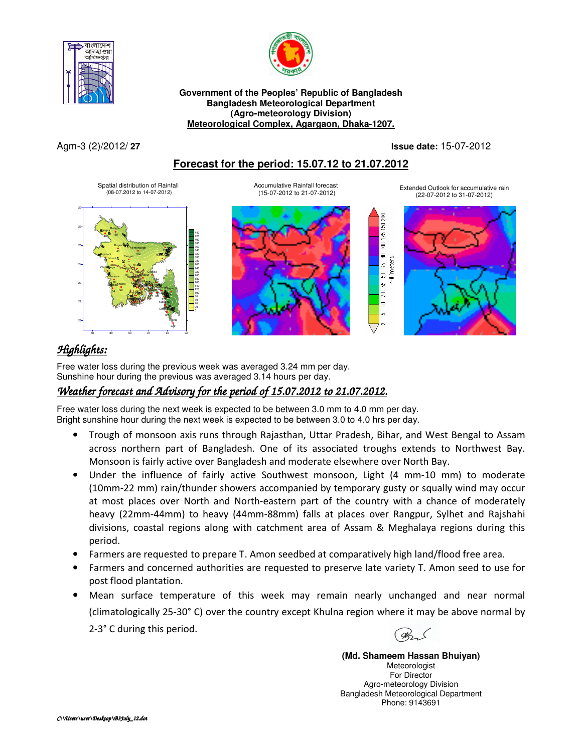



**Government of the Peoples' Republic of Bangladesh Bangladesh Meteorological Department (Agro-meteorology Division) Meteorological Complex, Agargaon, Dhaka-1207.**

Agm-3 (2)/2012/ **27 Issue date:** 15-07-2012

g S  $1251$  $\frac{1}{2}$ 읇

g.  $\overline{a}$  $\equiv$ 

## **Forecast for the period: 15.07.12 to 21.07.2012**

Accumulative Rainfall forecast (15-07-2012 to 21-07-2012)

Spatial distribution of Rainfall (08-07.2012 to 14-07-2012)





Extended Outlook for accumulative rain (22-07-2012 to 31-07-2012)



# *Highlights:*

 Free water loss during the previous week was averaged 3.24 mm per day. Sunshine hour during the previous was averaged 3.14 hours per day.

## *Weather forecast and Advisory for the period of 15.07.2012 to 21.07.2012.*

Free water loss during the next week is expected to be between 3.0 mm to 4.0 mm per day. Bright sunshine hour during the next week is expected to be between 3.0 to 4.0 hrs per day.

- Trough of monsoon axis runs through Rajasthan, Uttar Pradesh, Bihar, and West Bengal to Assam across northern part of Bangladesh. One of its associated troughs extends to Northwest Bay. Monsoon is fairly active over Bangladesh and moderate elsewhere over North Bay.
- Under the influence of fairly active Southwest monsoon, Light (4 mm-10 mm) to moderate (10mm-22 mm) rain/thunder showers accompanied by temporary gusty or squally wind may occur at most places over North and North-eastern part of the country with a chance of moderately heavy (22mm-44mm) to heavy (44mm-88mm) falls at places over Rangpur, Sylhet and Rajshahi divisions, coastal regions along with catchment area of Assam & Meghalaya regions during this period.
- Farmers are requested to prepare T. Amon seedbed at comparatively high land/flood free area.
- Farmers and concerned authorities are requested to preserve late variety T. Amon seed to use for post flood plantation.
- Mean surface temperature of this week may remain nearly unchanged and near normal (climatologically 25-30° C) over the country except Khulna region where it may be above normal by 2-3° C during this period.

**(Md. Shameem Hassan Bhuiyan)** Meteorologist For Director Agro-meteorology Division Bangladesh Meteorological Department Phone: 9143691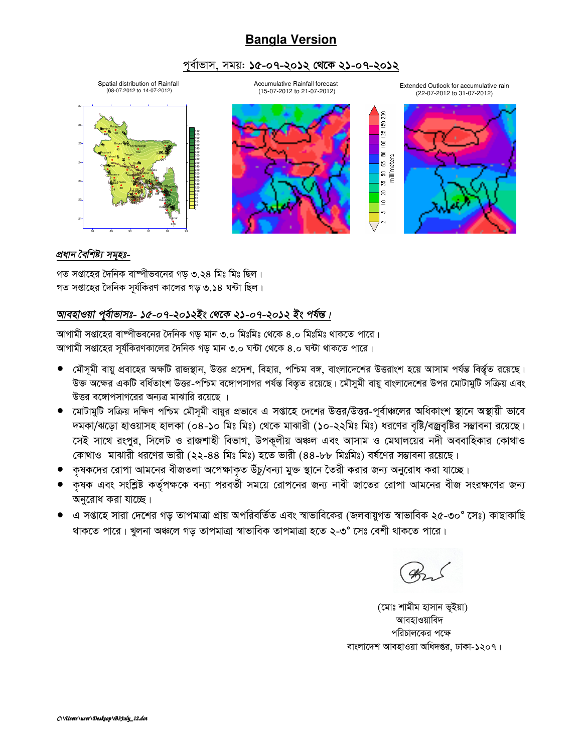# **Bangla Version**

## পৰ্বাভাস, সময়: **১৫-০৭-২০১২ থেকে ২১-০৭-২০১২**

Spatial distribution of Rainfall (08-07.2012 to 14-07-2012)

Accumulative Rainfall forecast (15-07-2012 to 21-07-2012)

Extended Outlook for accumulative rain (22-07-2012 to 31-07-2012)

g  $\overline{5}$  $\frac{25}{2}$ Ιg 읇.

ЯŚ,  $\approx$  $\subseteq$ 





#### *প্ৰধান বৈশিষ্ট্য সমৃহঃ-*

গত সপ্তাহের দৈনিক বাষ্পীভবনের গড় ৩.২৪ মিঃ মিঃ ছিল। গত সপ্তাহের দৈনিক সর্যকিরণ কালের গড় ৩.১৪ ঘন্টা ছিল।

## আবহাওয়া পূৰ্বাভাসঃ- ১৫-০৭-২০১২ইং থেকে ২১-০৭-২০১২ ইং পৰ্যন্ত।

আগামী সপ্তাহের বাষ্পীভবনের দৈনিক গড় মান ৩.০ মিঃমিঃ থেকে ৪.০ মিঃমিঃ থাকতে পারে। আগামী সপ্তাহের সর্যকিরণকালের দৈনিক গড় মান ৩.০ ঘন্টা থেকে ৪.০ ঘন্টা থাকতে পারে।

- মৌসূমী বায়ু প্রবাহের অক্ষটি রাজস্থান, উত্তর প্রদেশ, বিহার, পশ্চিম বঙ্গ, বাংলাদেশের উত্তরাংশ হয়ে আসাম পর্যন্ত বির্ন্তুত রয়েছে। উক্ত অক্ষের একটি বর্ধিতাংশ উত্তর-পশ্চিম বঙ্গোপসাগর পর্যন্ত বিস্তৃত রয়েছে। মৌসুমী বায়ু বাংলাদেশের উপর মোটামুটি সক্রিয় এবং উত্তর বঙ্গোপসাগরের অন্যত্র মাঝারি রয়েছে ।
- মোটামুটি সক্ৰিয় দক্ষিণ পশ্চিম মৌসমী বায়ুর প্রভাবে এ সপ্তাহে দেশের উত্তর/উত্তর-পূর্বাঞ্চলের অধিকাংশ স্থানে অস্থায়ী ভাবে দমকা/ঝড়ো হাওয়াসহ হালকা (০৪-১০ মিঃ মিঃ) থেকে মাঝারী (১০-২২মিঃ মিঃ) ধরণের বৃষ্টি/বজ্রবৃষ্টির সম্ভাবনা রয়েছে। কেই সাথে রংপুর, সিলেট ও রাজশাহী বিভাগ, উপকূলীয় অঞ্চল এবং আসাম ও মেঘালয়ের নদী অববাহিকার কোথাও কোথাও মাঝারী ধরণের ভারী (২২-৪৪ মিঃ মিঃ) হতে ভারী (৪৪-৮৮ মিঃমিঃ) বর্ষণের সম্ভাবনা রয়েছে।
- কৃষকদের রোপা আমনের বীজতলা অপেক্ষাকৃত উঁচু/বন্যা মুক্ত স্থানে তৈরী করার জন্য অনুরোধ করা যাচ্ছে।
- কৃষক এবং সংশ্লিষ্ট কর্তৃপক্ষকে বন্যা পরবর্তী সময়ে রোপনের জন্য নাবী জাতের রোপা আমনের বীজ সংরক্ষণের জন্য অনুরোধ করা যাচ্ছে।
- এ সপ্তাহে সারা দেশের গড় তাপমাত্রা প্রায় অপরিবর্তিত এবং স্বাভাবিকের (জলবায়ুগত স্বাভাবিক ২৫-৩০° সেঃ) কাছাকাছি থাকতে পারে। খুলনা অঞ্চলে গড় তাপমাত্রা স্বাভাবিক তাপমাত্রা হতে ২-৩° সেঃ বেশী থাকতে পারে।

(মোঃ শামীম হাসান ভূইয়া) আবহাওয়াবিদ পরিচালকের পক্ষে বাংলাদেশ আবহাওয়া অধিদপ্তর, ঢাকা-১২০৭।